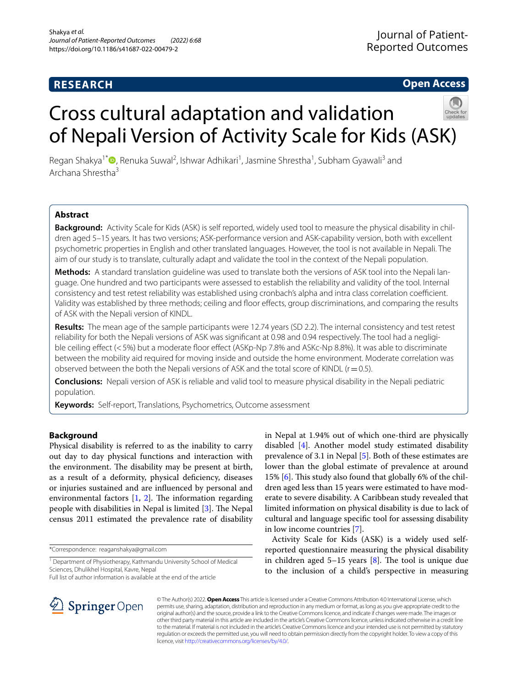# **RESEARCH**

# **Open Access**

# Cross cultural adaptation and validation of Nepali Version of Activity Scale for Kids (ASK)



Regan Shakya<sup>1[\\*](http://orcid.org/0000-0001-7345-5362)</sup><sup>®</sup>, Renuka Suwal<sup>2</sup>, Ishwar Adhikari<sup>1</sup>, Jasmine Shrestha<sup>1</sup>, Subham Gyawali<sup>3</sup> and Archana Shrestha3

# **Abstract**

**Background:** Activity Scale for Kids (ASK) is self reported, widely used tool to measure the physical disability in children aged 5–15 years. It has two versions; ASK-performance version and ASK-capability version, both with excellent psychometric properties in English and other translated languages. However, the tool is not available in Nepali. The aim of our study is to translate, culturally adapt and validate the tool in the context of the Nepali population.

**Methods:** A standard translation guideline was used to translate both the versions of ASK tool into the Nepali language. One hundred and two participants were assessed to establish the reliability and validity of the tool. Internal consistency and test retest reliability was established using cronbach's alpha and intra class correlation coefficient. Validity was established by three methods; ceiling and foor efects, group discriminations, and comparing the results of ASK with the Nepali version of KINDL.

**Results:** The mean age of the sample participants were 12.74 years (SD 2.2). The internal consistency and test retest reliability for both the Nepali versions of ASK was signifcant at 0.98 and 0.94 respectively. The tool had a negligible ceiling effect (<5%) but a moderate floor effect (ASKp-Np 7.8% and ASKc-Np 8.8%). It was able to discriminate between the mobility aid required for moving inside and outside the home environment. Moderate correlation was observed between the both the Nepali versions of ASK and the total score of KINDL  $(r=0.5)$ .

**Conclusions:** Nepali version of ASK is reliable and valid tool to measure physical disability in the Nepali pediatric population.

**Keywords:** Self-report, Translations, Psychometrics, Outcome assessment

# **Background**

Physical disability is referred to as the inability to carry out day to day physical functions and interaction with the environment. The disability may be present at birth, as a result of a deformity, physical defciency, diseases or injuries sustained and are infuenced by personal and environmental factors  $[1, 2]$  $[1, 2]$  $[1, 2]$  $[1, 2]$ . The information regarding people with disabilities in Nepal is limited [\[3](#page-5-2)]. The Nepal census 2011 estimated the prevalence rate of disability

\*Correspondence: reaganshakya@gmail.com

Full list of author information is available at the end of the article



Activity Scale for Kids (ASK) is a widely used selfreported questionnaire measuring the physical disability in children aged 5–15 years  $[8]$  $[8]$ . The tool is unique due to the inclusion of a child's perspective in measuring



© The Author(s) 2022. **Open Access** This article is licensed under a Creative Commons Attribution 4.0 International License, which permits use, sharing, adaptation, distribution and reproduction in any medium or format, as long as you give appropriate credit to the original author(s) and the source, provide a link to the Creative Commons licence, and indicate if changes were made. The images or other third party material in this article are included in the article's Creative Commons licence, unless indicated otherwise in a credit line to the material. If material is not included in the article's Creative Commons licence and your intended use is not permitted by statutory regulation or exceeds the permitted use, you will need to obtain permission directly from the copyright holder. To view a copy of this licence, visit [http://creativecommons.org/licenses/by/4.0/.](http://creativecommons.org/licenses/by/4.0/)

<sup>&</sup>lt;sup>1</sup> Department of Physiotherapy, Kathmandu University School of Medical Sciences, Dhulikhel Hospital, Kavre, Nepal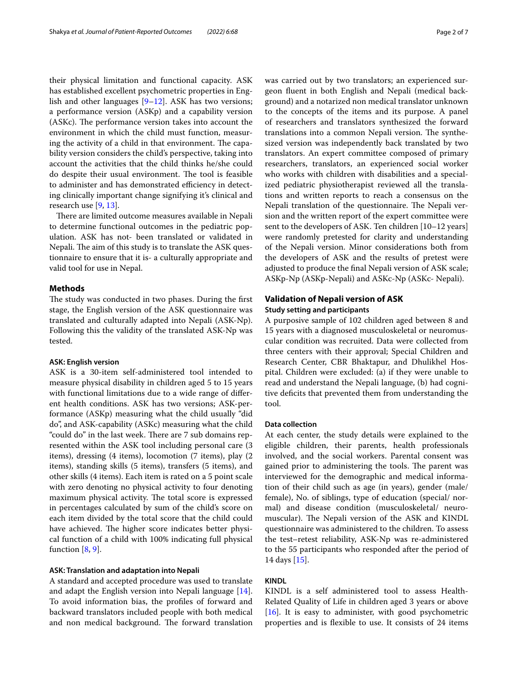their physical limitation and functional capacity. ASK has established excellent psychometric properties in English and other languages [\[9–](#page-5-8)[12\]](#page-5-9). ASK has two versions; a performance version (ASKp) and a capability version (ASKc). The performance version takes into account the environment in which the child must function, measuring the activity of a child in that environment. The capability version considers the child's perspective, taking into account the activities that the child thinks he/she could do despite their usual environment. The tool is feasible to administer and has demonstrated efficiency in detecting clinically important change signifying it's clinical and research use [[9,](#page-5-8) [13](#page-5-10)].

There are limited outcome measures available in Nepali to determine functional outcomes in the pediatric population. ASK has not- been translated or validated in Nepali. The aim of this study is to translate the ASK questionnaire to ensure that it is- a culturally appropriate and valid tool for use in Nepal.

# **Methods**

The study was conducted in two phases. During the first stage, the English version of the ASK questionnaire was translated and culturally adapted into Nepali (ASK-Np). Following this the validity of the translated ASK-Np was tested.

#### **ASK: English version**

ASK is a 30-item self-administered tool intended to measure physical disability in children aged 5 to 15 years with functional limitations due to a wide range of diferent health conditions. ASK has two versions; ASK-performance (ASKp) measuring what the child usually "did do", and ASK-capability (ASKc) measuring what the child "could do" in the last week. There are 7 sub domains represented within the ASK tool including personal care (3 items), dressing (4 items), locomotion (7 items), play (2 items), standing skills (5 items), transfers (5 items), and other skills (4 items). Each item is rated on a 5 point scale with zero denoting no physical activity to four denoting maximum physical activity. The total score is expressed in percentages calculated by sum of the child's score on each item divided by the total score that the child could have achieved. The higher score indicates better physical function of a child with 100% indicating full physical function  $[8, 9]$  $[8, 9]$  $[8, 9]$ .

#### **ASK: Translation and adaptation into Nepali**

A standard and accepted procedure was used to translate and adapt the English version into Nepali language [\[14](#page-5-11)]. To avoid information bias, the profles of forward and backward translators included people with both medical and non medical background. The forward translation was carried out by two translators; an experienced surgeon fuent in both English and Nepali (medical background) and a notarized non medical translator unknown to the concepts of the items and its purpose. A panel of researchers and translators synthesized the forward translations into a common Nepali version. The synthesized version was independently back translated by two translators. An expert committee composed of primary researchers, translators, an experienced social worker who works with children with disabilities and a specialized pediatric physiotherapist reviewed all the translations and written reports to reach a consensus on the Nepali translation of the questionnaire. The Nepali version and the written report of the expert committee were sent to the developers of ASK. Ten children [10–12 years] were randomly pretested for clarity and understanding of the Nepali version. Minor considerations both from the developers of ASK and the results of pretest were adjusted to produce the fnal Nepali version of ASK scale; ASKp-Np (ASKp-Nepali) and ASKc-Np (ASKc- Nepali).

# **Validation of Nepali version of ASK Study setting and participants**

A purposive sample of 102 children aged between 8 and 15 years with a diagnosed musculoskeletal or neuromuscular condition was recruited. Data were collected from three centers with their approval; Special Children and Research Center, CBR Bhaktapur, and Dhulikhel Hospital. Children were excluded: (a) if they were unable to read and understand the Nepali language, (b) had cognitive defcits that prevented them from understanding the tool.

#### **Data collection**

At each center, the study details were explained to the eligible children, their parents, health professionals involved, and the social workers. Parental consent was gained prior to administering the tools. The parent was interviewed for the demographic and medical information of their child such as age (in years), gender (male/ female), No. of siblings, type of education (special/ normal) and disease condition (musculoskeletal/ neuromuscular). The Nepali version of the ASK and KINDL questionnaire was administered to the children. To assess the test–retest reliability, ASK-Np was re-administered to the 55 participants who responded after the period of 14 days [\[15](#page-5-12)].

# **KINDL**

KINDL is a self administered tool to assess Health-Related Quality of Life in children aged 3 years or above [[16\]](#page-5-13). It is easy to administer, with good psychometric properties and is fexible to use. It consists of 24 items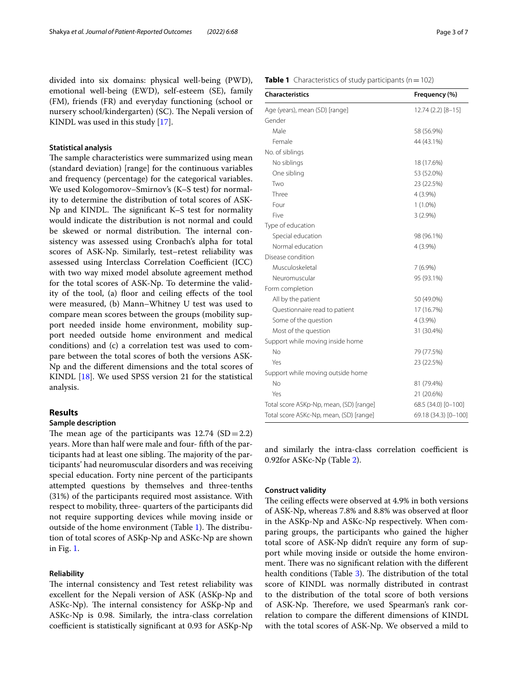divided into six domains: physical well-being (PWD), emotional well-being (EWD), self-esteem (SE), family (FM), friends (FR) and everyday functioning (school or nursery school/kindergarten) (SC). The Nepali version of KINDL was used in this study [[17\]](#page-5-14).

## **Statistical analysis**

The sample characteristics were summarized using mean (standard deviation) [range] for the continuous variables and frequency (percentage) for the categorical variables. We used Kologomorov–Smirnov's (K–S test) for normality to determine the distribution of total scores of ASK-Np and KINDL. The significant K–S test for normality would indicate the distribution is not normal and could be skewed or normal distribution. The internal consistency was assessed using Cronbach's alpha for total scores of ASK-Np. Similarly, test–retest reliability was assessed using Interclass Correlation Coefficient (ICC) with two way mixed model absolute agreement method for the total scores of ASK-Np. To determine the validity of the tool, (a) floor and ceiling effects of the tool were measured, (b) Mann–Whitney U test was used to compare mean scores between the groups (mobility support needed inside home environment, mobility support needed outside home environment and medical conditions) and (c) a correlation test was used to compare between the total scores of both the versions ASK-Np and the diferent dimensions and the total scores of KINDL [\[18](#page-5-15)]. We used SPSS version 21 for the statistical analysis.

## **Results**

#### **Sample description**

The mean age of the participants was  $12.74$  (SD = 2.2) years. More than half were male and four- ffth of the participants had at least one sibling. The majority of the participants' had neuromuscular disorders and was receiving special education. Forty nine percent of the participants attempted questions by themselves and three-tenths (31%) of the participants required most assistance. With respect to mobility, three- quarters of the participants did not require supporting devices while moving inside or outside of the home environment (Table [1](#page-2-0)). The distribution of total scores of ASKp-Np and ASKc-Np are shown in Fig. [1](#page-3-0).

#### **Reliability**

The internal consistency and Test retest reliability was excellent for the Nepali version of ASK (ASKp-Np and ASKc-Np). The internal consistency for ASKp-Np and ASKc-Np is 0.98. Similarly, the intra-class correlation coefficient is statistically significant at 0.93 for ASKp-Np

# <span id="page-2-0"></span>**Table 1** Characteristics of study participants ( $n = 102$ )

| <b>Characteristics</b>                  | Frequency (%)        |  |  |
|-----------------------------------------|----------------------|--|--|
| Age (years), mean (SD) [range]          | 12.74 (2.2) [8-15]   |  |  |
| Gender                                  |                      |  |  |
| Male                                    | 58 (56.9%)           |  |  |
| Female                                  | 44 (43.1%)           |  |  |
| No. of siblings                         |                      |  |  |
| No siblings                             | 18 (17.6%)           |  |  |
| One sibling                             | 53 (52.0%)           |  |  |
| Two                                     | 23 (22.5%)           |  |  |
| Three                                   | 4 (3.9%)             |  |  |
| Four                                    | $1(1.0\%)$           |  |  |
| Five                                    | $3(2.9\%)$           |  |  |
| Type of education                       |                      |  |  |
| Special education                       | 98 (96.1%)           |  |  |
| Normal education                        | 4 (3.9%)             |  |  |
| Disease condition                       |                      |  |  |
| Musculoskeletal                         | $7(6.9\%)$           |  |  |
| Neuromuscular                           | 95 (93.1%)           |  |  |
| Form completion                         |                      |  |  |
| All by the patient                      | 50 (49.0%)           |  |  |
| Questionnaire read to patient           | 17 (16.7%)           |  |  |
| Some of the question                    | $4(3.9\%)$           |  |  |
| Most of the question                    | 31 (30.4%)           |  |  |
| Support while moving inside home        |                      |  |  |
| No                                      | 79 (77.5%)           |  |  |
| Yes                                     | 23 (22.5%)           |  |  |
| Support while moving outside home       |                      |  |  |
| No                                      | 81 (79.4%)           |  |  |
| Yes                                     | 21 (20.6%)           |  |  |
| Total score ASKp-Np, mean, (SD) [range] | 68.5 (34.0) [0-100]  |  |  |
| Total score ASKc-Np, mean, (SD) [range] | 69.18 (34.3) [0-100] |  |  |

and similarly the intra-class correlation coefficient is 0.92for ASKc-Np (Table [2](#page-3-1)).

# **Construct validity**

The ceiling effects were observed at 4.9% in both versions of ASK-Np, whereas 7.8% and 8.8% was observed at foor in the ASKp-Np and ASKc-Np respectively. When comparing groups, the participants who gained the higher total score of ASK-Np didn't require any form of support while moving inside or outside the home environment. There was no significant relation with the different health conditions (Table [3\)](#page-3-2). The distribution of the total score of KINDL was normally distributed in contrast to the distribution of the total score of both versions of ASK-Np. Therefore, we used Spearman's rank correlation to compare the diferent dimensions of KINDL with the total scores of ASK-Np. We observed a mild to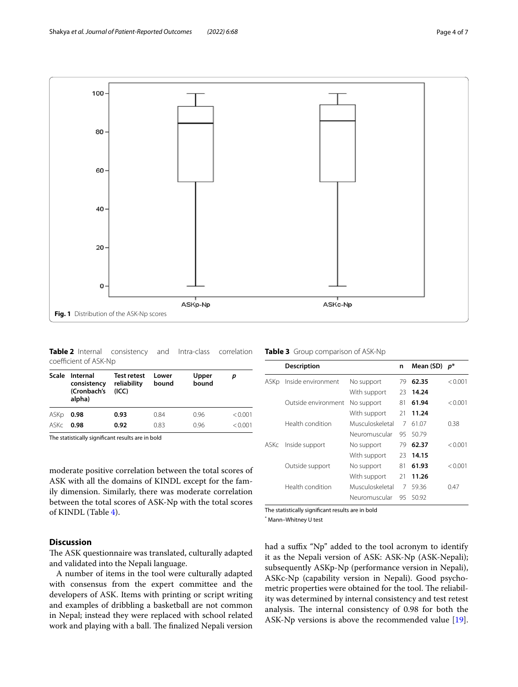

<span id="page-3-1"></span><span id="page-3-0"></span>**Table 2** Internal consistency and Intra-class correlation coefficient of ASK-Np

|      | Scale Internal<br>consistency<br>(Cronbach's<br>alpha) | Test retest<br>reliability<br>(ICC) | Lower<br>bound | Upper<br>bound | p       |
|------|--------------------------------------------------------|-------------------------------------|----------------|----------------|---------|
| ASKp | 0.98                                                   | 0.93                                | 0.84           | 0.96           | < 0.001 |
| ASKc | 0.98                                                   | 0.92                                | 0.83           | 0.96           | < 0.001 |

The statistically signifcant results are in bold

moderate positive correlation between the total scores of ASK with all the domains of KINDL except for the family dimension. Similarly, there was moderate correlation between the total scores of ASK-Np with the total scores of KINDL (Table [4\)](#page-4-0).

# **Discussion**

The ASK questionnaire was translated, culturally adapted and validated into the Nepali language.

A number of items in the tool were culturally adapted with consensus from the expert committee and the developers of ASK. Items with printing or script writing and examples of dribbling a basketball are not common in Nepal; instead they were replaced with school related work and playing with a ball. The finalized Nepali version

<span id="page-3-2"></span>

|  |  | Table 3 Group comparison of ASK-Np |  |
|--|--|------------------------------------|--|
|--|--|------------------------------------|--|

|      | <b>Description</b>  |                 | n  | Mean (SD) | $p^*$   |
|------|---------------------|-----------------|----|-----------|---------|
| ASKp | Inside environment  | No support      | 79 | 62.35     | < 0.001 |
|      |                     | With support    | 23 | 14.24     |         |
|      | Outside environment | No support      | 81 | 61.94     | < 0.001 |
|      |                     | With support    | 21 | 11.24     |         |
|      | Health condition    | Musculoskeletal | 7  | 61.07     | 0.38    |
|      |                     | Neuromuscular   | 95 | 50.79     |         |
| askc | Inside support      | No support      | 79 | 62.37     | < 0.001 |
|      |                     | With support    | 23 | 14.15     |         |
|      | Outside support     | No support      | 81 | 61.93     | < 0.001 |
|      |                     | With support    | 21 | 11.26     |         |
|      | Health condition    | Musculoskeletal | 7  | 59.36     | 0.47    |
|      |                     | Neuromuscular   | 95 | 50.92     |         |

The statistically signifcant results are in bold

\* Mann–Whitney U test

had a suffix "Np" added to the tool acronym to identify it as the Nepali version of ASK: ASK-Np (ASK-Nepali); subsequently ASKp-Np (performance version in Nepali), ASKc-Np (capability version in Nepali). Good psychometric properties were obtained for the tool. The reliability was determined by internal consistency and test retest analysis. The internal consistency of 0.98 for both the ASK-Np versions is above the recommended value [\[19](#page-5-16)].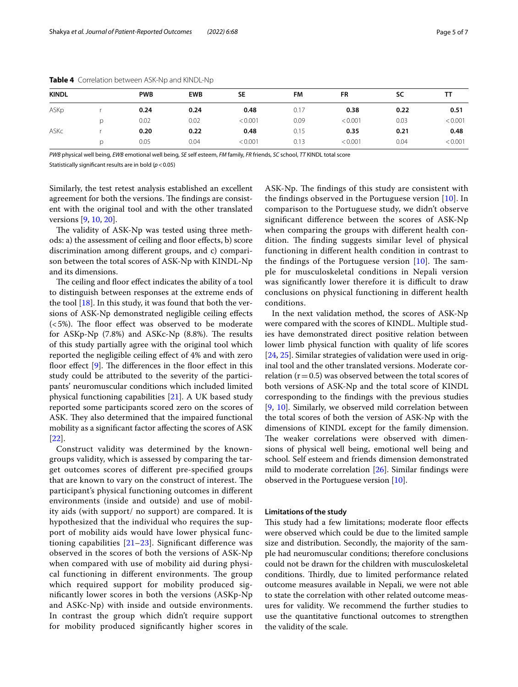| <b>KINDL</b> |   | <b>PWB</b> | <b>EWB</b> | <b>SE</b> | FM   | FR      | SC   | тт      |
|--------------|---|------------|------------|-----------|------|---------|------|---------|
| ASKp         |   | 0.24       | 0.24       | 0.48      | 0.17 | 0.38    | 0.22 | 0.51    |
|              | D | 0.02       | 0.02       | < 0.001   | 0.09 | < 0.001 | 0.03 | < 0.001 |
| ASKc         |   | 0.20       | 0.22       | 0.48      | 0.15 | 0.35    | 0.21 | 0.48    |
|              | D | 0.05       | 0.04       | < 0.001   | 0.13 | < 0.001 | 0.04 | < 0.001 |

<span id="page-4-0"></span>**Table 4** Correlation between ASK-Np and KINDL-Np

*PWB* physical well being, *EWB* emotional well being, *SE* self esteem, *FM* family, *FR* friends, *SC* school, *TT* KINDL total score

Statistically signifcant results are in bold (*p*<0.05)

Similarly, the test retest analysis established an excellent agreement for both the versions. The findings are consistent with the original tool and with the other translated versions [[9,](#page-5-8) [10](#page-5-17), [20](#page-5-18)].

The validity of ASK-Np was tested using three methods: a) the assessment of ceiling and floor effects, b) score discrimination among diferent groups, and c) comparison between the total scores of ASK-Np with KINDL-Np and its dimensions.

The ceiling and floor effect indicates the ability of a tool to distinguish between responses at the extreme ends of the tool  $[18]$  $[18]$ . In this study, it was found that both the versions of ASK-Np demonstrated negligible ceiling efects  $(<5\%)$ . The floor effect was observed to be moderate for ASKp-Np  $(7.8%)$  and ASKc-Np  $(8.8%)$ . The results of this study partially agree with the original tool which reported the negligible ceiling efect of 4% and with zero floor effect  $[9]$  $[9]$ . The differences in the floor effect in this study could be attributed to the severity of the participants' neuromuscular conditions which included limited physical functioning capabilities [[21\]](#page-5-19). A UK based study reported some participants scored zero on the scores of ASK. They also determined that the impaired functional mobility as a signifcant factor afecting the scores of ASK [[22\]](#page-6-0).

Construct validity was determined by the knowngroups validity, which is assessed by comparing the target outcomes scores of diferent pre-specifed groups that are known to vary on the construct of interest. The participant's physical functioning outcomes in diferent environments (inside and outside) and use of mobility aids (with support/ no support) are compared. It is hypothesized that the individual who requires the support of mobility aids would have lower physical functioning capabilities [[21](#page-5-19)[–23](#page-6-1)]. Signifcant diference was observed in the scores of both the versions of ASK-Np when compared with use of mobility aid during physical functioning in different environments. The group which required support for mobility produced signifcantly lower scores in both the versions (ASKp-Np and ASKc-Np) with inside and outside environments. In contrast the group which didn't require support for mobility produced signifcantly higher scores in ASK-Np. The findings of this study are consistent with the findings observed in the Portuguese version  $[10]$  $[10]$ . In comparison to the Portuguese study, we didn't observe signifcant diference between the scores of ASK-Np when comparing the groups with diferent health condition. The finding suggests similar level of physical functioning in diferent health condition in contrast to the findings of the Portuguese version  $[10]$  $[10]$ . The sample for musculoskeletal conditions in Nepali version was significantly lower therefore it is difficult to draw conclusions on physical functioning in diferent health conditions.

In the next validation method, the scores of ASK-Np were compared with the scores of KINDL. Multiple studies have demonstrated direct positive relation between lower limb physical function with quality of life scores [[24,](#page-6-2) [25](#page-6-3)]. Similar strategies of validation were used in original tool and the other translated versions. Moderate correlation ( $r=0.5$ ) was observed between the total scores of both versions of ASK-Np and the total score of KINDL corresponding to the fndings with the previous studies [[9,](#page-5-8) [10](#page-5-17)]. Similarly, we observed mild correlation between the total scores of both the version of ASK-Np with the dimensions of KINDL except for the family dimension. The weaker correlations were observed with dimensions of physical well being, emotional well being and school. Self esteem and friends dimension demonstrated mild to moderate correlation [[26\]](#page-6-4). Similar fndings were observed in the Portuguese version [\[10](#page-5-17)].

#### **Limitations of the study**

This study had a few limitations; moderate floor effects were observed which could be due to the limited sample size and distribution. Secondly, the majority of the sample had neuromuscular conditions; therefore conclusions could not be drawn for the children with musculoskeletal conditions. Thirdly, due to limited performance related outcome measures available in Nepali, we were not able to state the correlation with other related outcome measures for validity. We recommend the further studies to use the quantitative functional outcomes to strengthen the validity of the scale.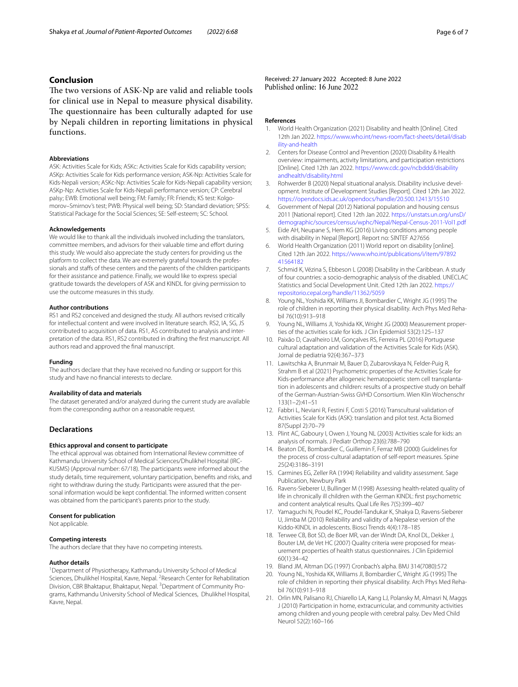# **Conclusion**

The two versions of ASK-Np are valid and reliable tools for clinical use in Nepal to measure physical disability. The questionnaire has been culturally adapted for use by Nepali children in reporting limitations in physical functions.

## **Abbreviations**

ASK: Activities Scale for Kids; ASKc: Activities Scale for Kids capability version; ASKp: Activities Scale for Kids performance version; ASK-Np: Activities Scale for Kids-Nepali version; ASKc-Np: Activities Scale for Kids-Nepali capability version; ASKp-Np: Activities Scale for Kids-Nepali performance version; CP: Cerebral palsy; EWB: Emotional well being; FM: Family; FR: Friends; KS test: Kolgomorov–Smirnov's test; PWB: Physical well being; SD: Standard deviation; SPSS: Statistical Package for the Social Sciences; SE: Self-esteem; SC: School.

#### **Acknowledgements**

We would like to thank all the individuals involved including the translators, committee members, and advisors for their valuable time and effort during this study. We would also appreciate the study centers for providing us the platform to collect the data. We are extremely grateful towards the professionals and stafs of these centers and the parents of the children participants for their assistance and patience. Finally, we would like to express special gratitude towards the developers of ASK and KINDL for giving permission to use the outcome measures in this study.

#### **Author contributions**

RS1 and RS2 conceived and designed the study. All authors revised critically for intellectual content and were involved in literature search. RS2, IA, SG, JS contributed to acquisition of data. RS1, AS contributed to analysis and interpretation of the data. RS1, RS2 contributed in drafting the frst manuscript. All authors read and approved the fnal manuscript.

#### **Funding**

The authors declare that they have received no funding or support for this study and have no fnancial interests to declare.

#### **Availability of data and materials**

The dataset generated and/or analyzed during the current study are available from the corresponding author on a reasonable request.

# **Declarations**

#### **Ethics approval and consent to participate**

The ethical approval was obtained from International Review committee of Kathmandu University School of Medical Sciences/Dhulikhel Hospital (IRC-KUSMS) (Approval number: 67/18). The participants were informed about the study details, time requirement, voluntary participation, benefts and risks, and right to withdraw during the study. Participants were assured that the personal information would be kept confdential. The informed written consent was obtained from the participant's parents prior to the study.

#### **Consent for publication**

Not applicable.

#### **Competing interests**

The authors declare that they have no competing interests.

#### **Author details**

<sup>1</sup> Department of Physiotherapy, Kathmandu University School of Medical Sciences, Dhulikhel Hospital, Kavre, Nepal. <sup>2</sup> Research Center for Rehabilitation Division, CBR Bhaktapur, Bhaktapur, Nepal. <sup>3</sup> Department of Community Programs, Kathmandu University School of Medical Sciences, Dhulikhel Hospital, Kavre, Nepal.

Received: 27 January 2022 Accepted: 8 June 2022<br>Published online: 16 June 2022

#### **References**

- <span id="page-5-0"></span>1. World Health Organization (2021) Disability and health [Online]. Cited 12th Jan 2022. [https://www.who.int/news-room/fact-sheets/detail/disab](https://www.who.int/news-room/fact-sheets/detail/disability-and-health) [ility-and-health](https://www.who.int/news-room/fact-sheets/detail/disability-and-health)
- <span id="page-5-1"></span>2. Centers for Disease Control and Prevention (2020) Disability & Health overview: impairments, activity limitations, and participation restrictions [Online]. Cited 12th Jan 2022. [https://www.cdc.gov/ncbddd/disability](https://www.cdc.gov/ncbddd/disabilityandhealth/disability.html) [andhealth/disability.html](https://www.cdc.gov/ncbddd/disabilityandhealth/disability.html)
- <span id="page-5-2"></span>3. Rohwerder B (2020) Nepal situational analysis. Disability inclusive development. Institute of Development Studies [Report]. Cited 12th Jan 2022. <https://opendocs.ids.ac.uk/opendocs/handle/20.500.12413/15510>
- <span id="page-5-3"></span>4. Government of Nepal (2012) National population and housing census 2011 [National report]. Cited 12th Jan 2022. [https://unstats.un.org/unsD/](https://unstats.un.org/unsD/demographic/sources/census/wphc/Nepal/Nepal-Census-2011-Vol1.pdf) [demographic/sources/census/wphc/Nepal/Nepal-Census-2011-Vol1.pdf](https://unstats.un.org/unsD/demographic/sources/census/wphc/Nepal/Nepal-Census-2011-Vol1.pdf)
- <span id="page-5-4"></span>5. Eide AH, Neupane S, Hem KG (2016) Living conditions among people with disability in Nepal [Report]. Report no: SINTEF A27656
- <span id="page-5-5"></span>6. World Health Organization (2011) World report on disability [online]. Cited 12th Jan 2022. [https://www.who.int/publications/i/item/97892](https://www.who.int/publications/i/item/9789241564182) [41564182](https://www.who.int/publications/i/item/9789241564182)
- <span id="page-5-6"></span>7. Schmid K, Vézina S, Ebbeson L (2008) Disability in the Caribbean. A study of four countries: a socio-demographic analysis of the disabled. UNECLAC Statistics and Social Development Unit. Cited 12th Jan 2022. [https://](https://repositorio.cepal.org/handle/11362/5059) [repositorio.cepal.org/handle/11362/5059](https://repositorio.cepal.org/handle/11362/5059)
- <span id="page-5-7"></span>8. Young NL, Yoshida KK, Williams JI, Bombardier C, Wright JG (1995) The role of children in reporting their physical disability. Arch Phys Med Rehabil 76(10):913–918
- <span id="page-5-8"></span>9. Young NL, Williams JI, Yoshida KK, Wright JG (2000) Measurement properties of the activities scale for kids. J Clin Epidemiol 53(2):125–137
- <span id="page-5-17"></span>10. Paixão D, Cavalheiro LM, Gonçalves RS, Ferreira PL (2016) Portuguese cultural adaptation and validation of the Activities Scale for Kids (ASK). Jornal de pediatria 92(4):367–373
- 11. Lawitschka A, Brunmair M, Bauer D, Zubarovskaya N, Felder-Puig R, Strahm B et al (2021) Psychometric properties of the Activities Scale for Kids-performance after allogeneic hematopoietic stem cell transplantation in adolescents and children: results of a prospective study on behalf of the German-Austrian-Swiss GVHD Consortium. Wien Klin Wochenschr 133(1–2):41–51
- <span id="page-5-9"></span>12. Fabbri L, Neviani R, Festini F, Costi S (2016) Transcultural validation of Activities Scale for Kids (ASK): translation and pilot test. Acta Biomed 87(Suppl 2):70–79
- <span id="page-5-10"></span>13. Plint AC, Gaboury I, Owen J, Young NL (2003) Activities scale for kids: an analysis of normals. J Pediatr Orthop 23(6):788–790
- <span id="page-5-11"></span>14. Beaton DE, Bombardier C, Guillemin F, Ferraz MB (2000) Guidelines for the process of cross-cultural adaptation of self-report measures. Spine 25(24):3186–3191
- <span id="page-5-12"></span>15. Carmines EG, Zeller RA (1994) Reliability and validity assessment. Sage Publication, Newbury Park
- <span id="page-5-13"></span>16. Ravens-Sieberer U, Bullinger M (1998) Assessing health-related quality of life in chronically ill children with the German KINDL: frst psychometric and content analytical results. Qual Life Res 7(5):399–407
- <span id="page-5-14"></span>17. Yamaguchi N, Poudel KC, Poudel-Tandukar K, Shakya D, Ravens-Sieberer U, Jimba M (2010) Reliability and validity of a Nepalese version of the Kiddo-KINDL in adolescents. Biosci Trends 4(4):178–185
- <span id="page-5-15"></span>18. Terwee CB, Bot SD, de Boer MR, van der Windt DA, Knol DL, Dekker J, Bouter LM, de Vet HC (2007) Quality criteria were proposed for measurement properties of health status questionnaires. J Clin Epidemiol 60(1):34–42
- <span id="page-5-16"></span>19. Bland JM, Altman DG (1997) Cronbach's alpha. BMJ 314(7080):572
- <span id="page-5-18"></span>20. Young NL, Yoshida KK, Williams JI, Bombardier C, Wright JG (1995) The role of children in reporting their physical disability. Arch Phys Med Rehabil 76(10):913–918
- <span id="page-5-19"></span>21. Orlin MN, Palisano RJ, Chiarello LA, Kang LJ, Polansky M, Almasri N, Maggs J (2010) Participation in home, extracurricular, and community activities among children and young people with cerebral palsy. Dev Med Child Neurol 52(2):160–166